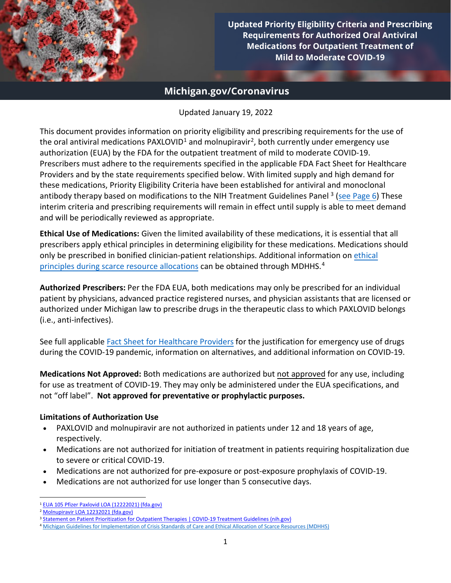

**Updated Priority Eligibility Criteria and Prescribing Requirements for Authorized Oral Antiviral Medications for Outpatient Treatment of Mild to Moderate COVID-19**

# **Michigan.gov/Coronavirus**

Updated January 19, 2022

This document provides information on priority eligibility and prescribing requirements for the use of the oral antiviral medications PAXLOVID<sup>[1](#page-0-0)</sup> and molnupiravir<sup>[2](#page-0-1)</sup>, both currently under emergency use authorization (EUA) by the FDA for the outpatient treatment of mild to moderate COVID-19. Prescribers must adhere to the requirements specified in the applicable FDA Fact Sheet for Healthcare Providers and by the state requirements specified below. With limited supply and high demand for these medications, Priority Eligibility Criteria have been established for antiviral and monoclonal antibody therapy based on modifications to [the NIH Treatment](https://www.covid19treatmentguidelines.nih.gov/therapies/statement-on-patient-prioritization-for-outpatient-therapies/) Guidelines Panel<sup>[3](#page-0-2)</sup> [\(see Page 6\)](#page-5-0) These interim criteria and prescribing requirements will remain in effect until supply is able to meet demand and will be periodically reviewed as appropriate.

**Ethical Use of Medications:** Given the limited availability of these medications, it is essential that all prescribers apply ethical principles in determining eligibility for these medications. Medications should only be prescribed in bonified clinician-patient relationships. Additional information on [ethical](https://www.michigan.gov/documents/coronavirus/MDHHS_Ethical_Guidlines_-_November_30_2021_FINAL_12-6-21_743014_7.pdf)  [principles during scarce resource allocations](https://www.michigan.gov/documents/coronavirus/MDHHS_Ethical_Guidlines_-_November_30_2021_FINAL_12-6-21_743014_7.pdf) can be obtained through MDHHS.[4](#page-0-3)

**Authorized Prescribers:** Per the FDA EUA, both medications may only be prescribed for an individual patient by physicians, advanced practice registered nurses, and physician assistants that are licensed or authorized under Michigan law to prescribe drugs in the therapeutic class to which PAXLOVID belongs (i.e., anti-infectives).

See full applicabl[e Fact Sheet for Healthcare Providers](https://www.michigan.gov/coronavirus/0,9753,7-406-98178_106077_106091---,00.html) for the justification for emergency use of drugs during the COVID-19 pandemic, information on alternatives, and additional information on COVID-19.

**Medications Not Approved:** Both medications are authorized but not approved for any use, including for use as treatment of COVID-19. They may only be administered under the EUA specifications, and not "off label". **Not approved for preventative or prophylactic purposes.**

# **Limitations of Authorization Use**

- PAXLOVID and molnupiravir are not authorized in patients under 12 and 18 years of age, respectively.
- Medications are not authorized for initiation of treatment in patients requiring hospitalization due to severe or critical COVID-19.
- Medications are not authorized for pre-exposure or post-exposure prophylaxis of COVID-19.
- Medications are not authorized for use longer than 5 consecutive days.

<span id="page-0-0"></span><sup>1</sup> [EUA 105 Pfizer Paxlovid LOA \(12222021\) \(fda.gov\)](https://www.fda.gov/media/155049/download)

<span id="page-0-1"></span><sup>2</sup> [Molnupiravir LOA 12232021 \(fda.gov\)](https://www.fda.gov/media/155053/download)

<span id="page-0-2"></span><sup>&</sup>lt;sup>3</sup> [Statement on Patient Prioritization for Outpatient Therapies | COVID-19 Treatment Guidelines \(nih.gov\)](https://www.covid19treatmentguidelines.nih.gov/therapies/statement-on-patient-prioritization-for-outpatient-therapies/)

<span id="page-0-3"></span><sup>4</sup> [Michigan Guidelines for Implementation of Crisis Standards of Care and Ethical Allocation of Scarce Resources \(MDHHS\)](https://www.michigan.gov/documents/coronavirus/MDHHS_Ethical_Guidlines_-_November_30_2021_FINAL_12-6-21_743014_7.pdf)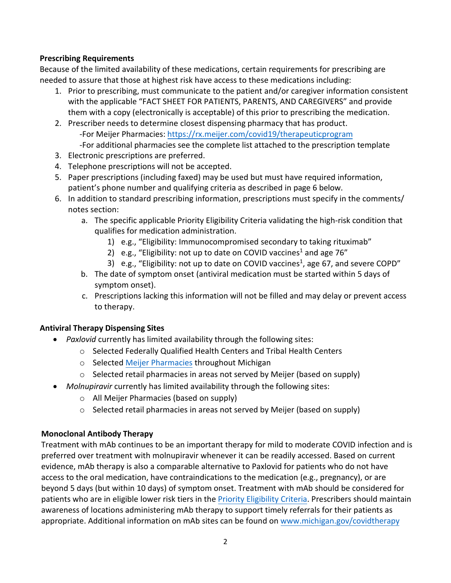# **Prescribing Requirements**

Because of the limited availability of these medications, certain requirements for prescribing are needed to assure that those at highest risk have access to these medications including:

- 1. Prior to prescribing, must communicate to the patient and/or caregiver information consistent with the applicable "FACT SHEET FOR PATIENTS, PARENTS, AND CAREGIVERS" and provide them with a copy (electronically is acceptable) of this prior to prescribing the medication.
- 2. Prescriber needs to determine closest dispensing pharmacy that has product. -For Meijer Pharmacies: <https://rx.meijer.com/covid19/therapeuticprogram> -For additional pharmacies see the complete list attached to the prescription template
- 3. Electronic prescriptions are preferred.
- 4. Telephone prescriptions will not be accepted.
- 5. Paper prescriptions (including faxed) may be used but must have required information, patient's phone number and qualifying criteria as described in page 6 below.
- 6. In addition to standard prescribing information, prescriptions must specify in the comments/ notes section:
	- a. The specific applicable Priority Eligibility Criteria validating the high-risk condition that qualifies for medication administration.
		- 1) e.g., "Eligibility: Immunocompromised secondary to taking rituximab"
		- 2) e.g., "Eligibility: not up to date on COVID vaccines<sup>1</sup> and age 76"
		- 3)  $e.g., "Eligibility: not up to date on COVID vaccines<sup>1</sup>, age 67, and severe COPD"$
	- b. The date of symptom onset (antiviral medication must be started within 5 days of symptom onset).
	- c. Prescriptions lacking this information will not be filled and may delay or prevent access to therapy.

#### **Antiviral Therapy Dispensing Sites**

- *Paxlovid* currently has limited availability through the following sites:
	- o Selected Federally Qualified Health Centers and Tribal Health Centers
	- o Selected [Meijer Pharmacies](https://rx.meijer.com/covid19/therapeuticprogram) throughout Michigan
	- o Selected retail pharmacies in areas not served by Meijer (based on supply)
- *Molnupiravir* currently has limited availability through the following sites:
	- o All Meijer Pharmacies (based on supply)
	- $\circ$  Selected retail pharmacies in areas not served by Meijer (based on supply)

#### **Monoclonal Antibody Therapy**

Treatment with mAb continues to be an important therapy for mild to moderate COVID infection and is preferred over treatment with molnupiravir whenever it can be readily accessed. Based on current evidence, mAb therapy is also a comparable alternative to Paxlovid for patients who do not have access to the oral medication, have contraindications to the medication (e.g., pregnancy), or are beyond 5 days (but within 10 days) of symptom onset. Treatment with mAb should be considered for patients who are in eligible lower risk tiers in the [Priority Eligibility Criteria.](#page-5-0) Prescribers should maintain awareness of locations administering mAb therapy to support timely referrals for their patients as appropriate. Additional information on mAb sites can be found on [www.michigan.gov/covidtherapy](http://www.michigan.gov/covidtherapy)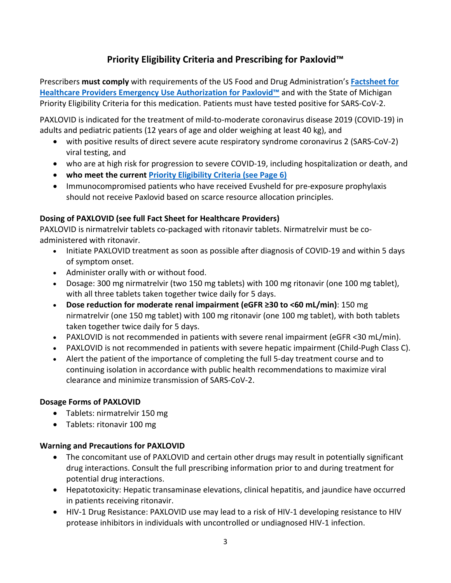# **Priority Eligibility Criteria and Prescribing for Paxlovid™**

Prescribers **must comply** with requirements of the US Food and Drug Administration's **[Factsheet for](https://www.fda.gov/media/155050/download)  [Healthcare Providers Emergency Use Authorization for Paxlovid™](https://www.fda.gov/media/155050/download)** and with the State of Michigan Priority Eligibility Criteria for this medication. Patients must have tested positive for SARS-CoV-2.

PAXLOVID is indicated for the treatment of mild-to-moderate coronavirus disease 2019 (COVID-19) in adults and pediatric patients (12 years of age and older weighing at least 40 kg), and

- with positive results of direct severe acute respiratory syndrome coronavirus 2 (SARS-CoV-2) viral testing, and
- who are at high risk for progression to severe COVID-19, including hospitalization or death, and
- **who meet the current [Priority Eligibility Criteria](#page-5-0) (see Page 6)**
- Immunocompromised patients who have received Evusheld for pre-exposure prophylaxis should not receive Paxlovid based on scarce resource allocation principles.

# **Dosing of PAXLOVID (see full Fact Sheet for Healthcare Providers)**

PAXLOVID is nirmatrelvir tablets co-packaged with ritonavir tablets. Nirmatrelvir must be coadministered with ritonavir.

- Initiate PAXLOVID treatment as soon as possible after diagnosis of COVID-19 and within 5 days of symptom onset.
- Administer orally with or without food.
- Dosage: 300 mg nirmatrelvir (two 150 mg tablets) with 100 mg ritonavir (one 100 mg tablet), with all three tablets taken together twice daily for 5 days.
- **Dose reduction for moderate renal impairment (eGFR ≥30 to <60 mL/min)**: 150 mg nirmatrelvir (one 150 mg tablet) with 100 mg ritonavir (one 100 mg tablet), with both tablets taken together twice daily for 5 days.
- PAXLOVID is not recommended in patients with severe renal impairment (eGFR <30 mL/min).
- PAXLOVID is not recommended in patients with severe hepatic impairment (Child-Pugh Class C).
- Alert the patient of the importance of completing the full 5-day treatment course and to continuing isolation in accordance with public health recommendations to maximize viral clearance and minimize transmission of SARS-CoV-2.

# **Dosage Forms of PAXLOVID**

- Tablets: nirmatrelvir 150 mg
- Tablets: ritonavir 100 mg

# **Warning and Precautions for PAXLOVID**

- The concomitant use of PAXLOVID and certain other drugs may result in potentially significant drug interactions. Consult the full prescribing information prior to and during treatment for potential drug interactions.
- Hepatotoxicity: Hepatic transaminase elevations, clinical hepatitis, and jaundice have occurred in patients receiving ritonavir.
- HIV-1 Drug Resistance: PAXLOVID use may lead to a risk of HIV-1 developing resistance to HIV protease inhibitors in individuals with uncontrolled or undiagnosed HIV-1 infection.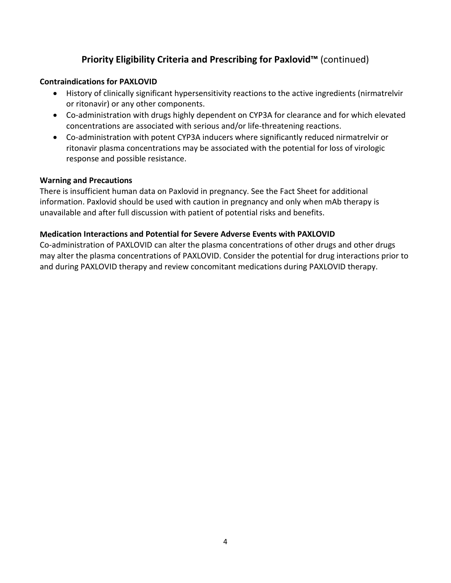# **Priority Eligibility Criteria and Prescribing for Paxlovid™** (continued)

#### **Contraindications for PAXLOVID**

- History of clinically significant hypersensitivity reactions to the active ingredients (nirmatrelvir or ritonavir) or any other components.
- Co-administration with drugs highly dependent on CYP3A for clearance and for which elevated concentrations are associated with serious and/or life-threatening reactions.
- Co-administration with potent CYP3A inducers where significantly reduced nirmatrelvir or ritonavir plasma concentrations may be associated with the potential for loss of virologic response and possible resistance.

#### **Warning and Precautions**

There is insufficient human data on Paxlovid in pregnancy. See the Fact Sheet for additional information. Paxlovid should be used with caution in pregnancy and only when mAb therapy is unavailable and after full discussion with patient of potential risks and benefits.

#### **Medication Interactions and Potential for Severe Adverse Events with PAXLOVID**

Co-administration of PAXLOVID can alter the plasma concentrations of other drugs and other drugs may alter the plasma concentrations of PAXLOVID. Consider the potential for drug interactions prior to and during PAXLOVID therapy and review concomitant medications during PAXLOVID therapy.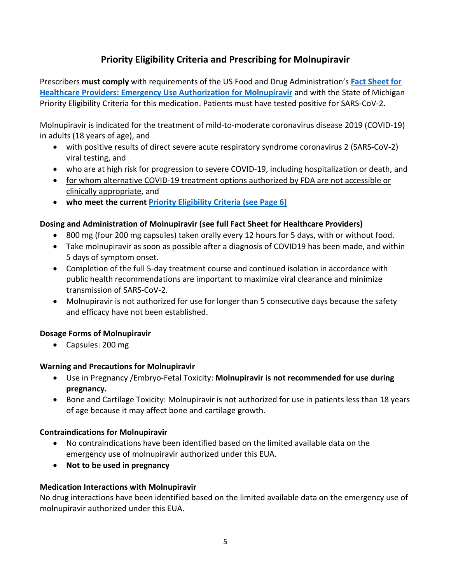# **Priority Eligibility Criteria and Prescribing for Molnupiravir**

Prescribers **must comply** with requirements of the US Food and Drug Administration's **[Fact Sheet for](https://www.fda.gov/media/155054/download)  [Healthcare Providers: Emergency Use Authorization for Molnupiravir](https://www.fda.gov/media/155054/download)** and with the State of Michigan Priority Eligibility Criteria for this medication. Patients must have tested positive for SARS-CoV-2.

Molnupiravir is indicated for the treatment of mild-to-moderate coronavirus disease 2019 (COVID-19) in adults (18 years of age), and

- with positive results of direct severe acute respiratory syndrome coronavirus 2 (SARS-CoV-2) viral testing, and
- who are at high risk for progression to severe COVID-19, including hospitalization or death, and
- for whom alternative COVID-19 treatment options authorized by FDA are not accessible or clinically appropriate, and
- **who meet the current [Priority Eligibility Criteria \(see Page 6\)](#page-5-0)**

# **Dosing and Administration of Molnupiravir (see full Fact Sheet for Healthcare Providers)**

- 800 mg (four 200 mg capsules) taken orally every 12 hours for 5 days, with or without food.
- Take molnupiravir as soon as possible after a diagnosis of COVID19 has been made, and within 5 days of symptom onset.
- Completion of the full 5-day treatment course and continued isolation in accordance with public health recommendations are important to maximize viral clearance and minimize transmission of SARS-CoV-2.
- Molnupiravir is not authorized for use for longer than 5 consecutive days because the safety and efficacy have not been established.

# **Dosage Forms of Molnupiravir**

• Capsules: 200 mg

# **Warning and Precautions for Molnupiravir**

- Use in Pregnancy /Embryo-Fetal Toxicity: **Molnupiravir is not recommended for use during pregnancy.**
- Bone and Cartilage Toxicity: Molnupiravir is not authorized for use in patients less than 18 years of age because it may affect bone and cartilage growth.

# **Contraindications for Molnupiravir**

- No contraindications have been identified based on the limited available data on the emergency use of molnupiravir authorized under this EUA.
- **Not to be used in pregnancy**

# **Medication Interactions with Molnupiravir**

No drug interactions have been identified based on the limited available data on the emergency use of molnupiravir authorized under this EUA.